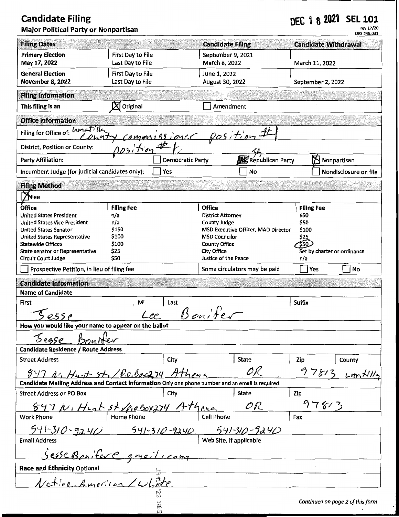## **Candidate Filing** DEC 1 8 **2021 SEL 101**  rev12/20 Major Political Party or Nonpartisan

|                                                                                                                           |                                       |                                     |                                    |                                     |                             | ORS 249.031                      |
|---------------------------------------------------------------------------------------------------------------------------|---------------------------------------|-------------------------------------|------------------------------------|-------------------------------------|-----------------------------|----------------------------------|
| <b>Filing Dates</b>                                                                                                       |                                       |                                     | <b>Candidate Filing</b>            |                                     | <b>Candidate Withdrawal</b> |                                  |
| <b>Primary Election</b><br>May 17, 2022                                                                                   | First Day to File<br>Last Day to File |                                     | September 9, 2021<br>March 8, 2022 |                                     | March 11, 2022              |                                  |
| <b>General Election</b><br><b>November 8, 2022</b>                                                                        | First Day to File<br>Last Day to File |                                     | June 1, 2022<br>August 30, 2022    |                                     | September 2, 2022           |                                  |
| <b>Filing Information</b>                                                                                                 |                                       |                                     |                                    |                                     |                             |                                  |
| This filing is an                                                                                                         | Original                              |                                     | Amendment                          |                                     |                             |                                  |
| <b>Office Information</b>                                                                                                 |                                       |                                     |                                    |                                     |                             |                                  |
| Filing for Office of: Limetilla                                                                                           |                                       |                                     |                                    |                                     |                             |                                  |
| District, Position or County:                                                                                             |                                       | emmissioner position#<br>position#1 |                                    |                                     |                             |                                  |
| Party Affiliation:                                                                                                        | <b>Democratic Party</b>               |                                     | Republican Party                   |                                     | Nonpartisan                 |                                  |
| Incumbent Judge (for judicial candidates only):                                                                           |                                       | Yes                                 |                                    | No                                  |                             | Nondisclosure on file            |
| <b>Filing Method</b>                                                                                                      |                                       |                                     |                                    |                                     |                             |                                  |
| <b>ThFee</b>                                                                                                              |                                       |                                     |                                    |                                     |                             |                                  |
| <b>Office</b>                                                                                                             | <b>Filing Fee</b>                     |                                     | <b>Office</b>                      |                                     | <b>Filing Fee</b>           |                                  |
| <b>United States President</b>                                                                                            | n/a                                   |                                     | <b>District Attorney</b>           |                                     | \$50                        |                                  |
| <b>United States Vice President</b><br><b>United States Senator</b>                                                       | n/a<br>\$150                          |                                     | <b>County Judge</b>                | MSD Executive Officer, MAD Director | \$50<br>\$100               |                                  |
| United States Representative                                                                                              | \$100                                 |                                     | <b>MSD Councilor</b>               |                                     | \$25                        |                                  |
| <b>Statewide Offices</b>                                                                                                  | \$100                                 |                                     | <b>County Office</b>               |                                     | \$50                        |                                  |
| State senator or Representative                                                                                           | \$25                                  |                                     | City Office                        |                                     | Set by charter or ordinance |                                  |
| Circuit Court Judge<br>Prospective Petition, in lieu of filing fee                                                        | \$50                                  |                                     | Justice of the Peace               | Some circulators may be paid        | n/a<br>Yes                  | <b>No</b>                        |
|                                                                                                                           |                                       |                                     |                                    |                                     |                             |                                  |
| <b>Candidate Information</b><br><b>Name of Candidate</b>                                                                  |                                       |                                     |                                    |                                     |                             |                                  |
| First                                                                                                                     | MI                                    | Last                                |                                    |                                     | <b>Suffix</b>               |                                  |
|                                                                                                                           |                                       |                                     | Bonifer                            |                                     |                             |                                  |
| now you would like your name to appear on the ballot                                                                      |                                       |                                     |                                    |                                     |                             |                                  |
| Sease Bounder                                                                                                             |                                       |                                     |                                    |                                     |                             |                                  |
| Candidate Residence / Route Address                                                                                       |                                       |                                     |                                    |                                     |                             |                                  |
| <b>Street Address</b>                                                                                                     |                                       | City                                |                                    | <b>State</b>                        | Zip                         | County                           |
| $517$ N. Hust $5 + 10.0.50 \times 274$ Athens                                                                             |                                       |                                     |                                    | OR                                  | 97813                       |                                  |
| Candidate Mailing Address and Contact Information Only one phone number and an email is required.                         |                                       |                                     |                                    |                                     |                             | $L$ matilla                      |
| <b>Street Address or PO Box</b>                                                                                           |                                       | City                                |                                    | <b>State</b>                        | Zip                         |                                  |
|                                                                                                                           |                                       |                                     |                                    | OR                                  | 978/3                       |                                  |
| $897 \mu$ , $444 \hbar 52 \mu 660 \chi 774$ $44 \hbar e \kappa$<br>k Phone   Home Phone   Cell Phone<br><b>Work Phone</b> |                                       |                                     |                                    |                                     | Fax                         |                                  |
|                                                                                                                           |                                       |                                     |                                    |                                     |                             |                                  |
| $\frac{541-310-9240}{9240}$ $\frac{541-310-9240}{9}$ Web Site, if applicable<br><b>Email Address</b>                      |                                       |                                     |                                    |                                     |                             |                                  |
| Sesse Banifere gmail com                                                                                                  |                                       |                                     |                                    |                                     |                             |                                  |
| <b>Race and Ethnicity Optional</b>                                                                                        |                                       |                                     |                                    |                                     |                             |                                  |
| Netire American/Whate                                                                                                     |                                       |                                     |                                    |                                     |                             |                                  |
|                                                                                                                           |                                       |                                     |                                    |                                     |                             |                                  |
|                                                                                                                           |                                       | ige<br>On                           |                                    |                                     |                             | Continued on page 2 of this form |